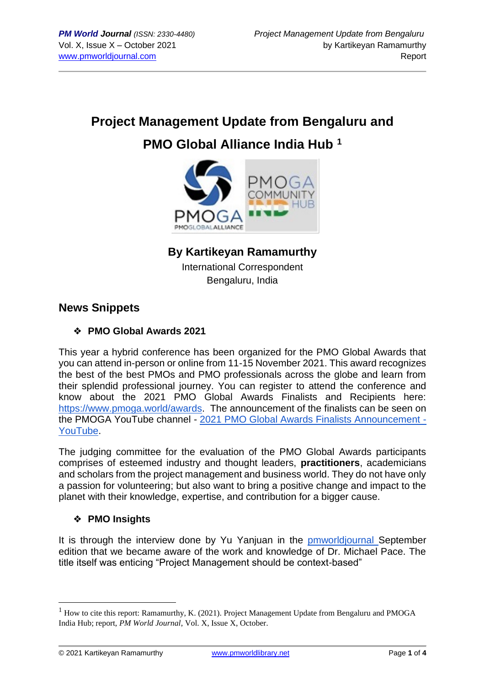# **Project Management Update from Bengaluru and PMO Global Alliance India Hub <sup>1</sup>**



## **By Kartikeyan Ramamurthy**

International Correspondent Bengaluru, India

## **News Snippets**

## ❖ **PMO Global Awards 2021**

This year a hybrid conference has been organized for the PMO Global Awards that you can attend in-person or online from 11-15 November 2021. This award recognizes the best of the best PMOs and PMO professionals across the globe and learn from their splendid professional journey. You can register to attend the conference and know about the 2021 PMO Global Awards Finalists and Recipients here[:](https://www.pmoga.world/awards) [https://www.pmoga.world/awards.](https://www.pmoga.world/awards) The announcement of the finalists can be seen on the PMOGA YouTube channel - [2021 PMO Global Awards Finalists Announcement -](https://www.youtube.com/watch?v=czzWVZacPcw) [YouTube.](https://www.youtube.com/watch?v=czzWVZacPcw)

The judging committee for the evaluation of the PMO Global Awards participants comprises of esteemed industry and thought leaders, **practitioners**, academicians and scholars from the project management and business world. They do not have only a passion for volunteering; but also want to bring a positive change and impact to the planet with their knowledge, expertise, and contribution for a bigger cause.

## ❖ **PMO Insights**

It is through the interview done by Yu Yanjuan in the [pmworldjournal S](https://pmworldjournal.com/article/interview-with-michael-pace)eptember edition that we became aware of the work and knowledge of Dr. Michael Pace. The title itself was enticing "Project Management should be context-based"

<sup>&</sup>lt;sup>1</sup> How to cite this report: Ramamurthy, K. (2021). Project Management Update from Bengaluru and PMOGA India Hub; report, *PM World Journal*, Vol. X, Issue X, October.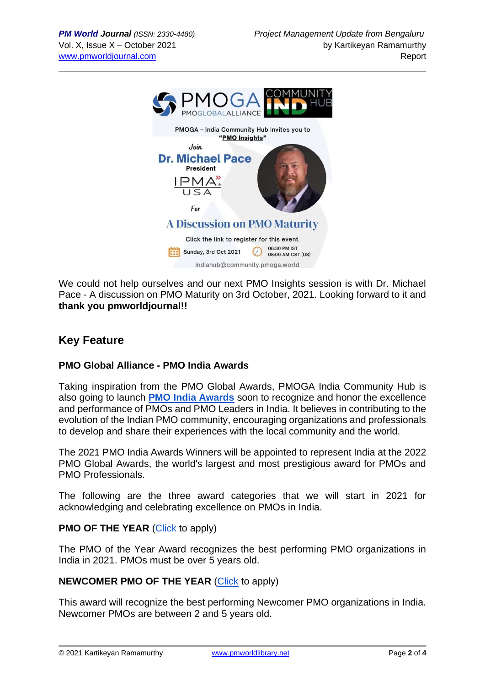

We could not help ourselves and our next PMO Insights session is with Dr. Michael Pace - A discussion on PMO Maturity on 3rd October, 2021. Looking forward to it and **thank you pmworldjournal!!**

# **Key Feature**

#### **PMO Global Alliance - PMO India Awards**

Taking inspiration from the PMO Global Awards, PMOGA India Community Hub is also going to launch **[PMO India Awards](https://www.pmoga.world/pmo-india-awards)** soon to recognize and honor the excellence and performance of PMOs and PMO Leaders in India. It believes in contributing to the evolution of the Indian PMO community, encouraging organizations and professionals to develop and share their experiences with the local community and the world.

The 2021 PMO India Awards Winners will be appointed to represent India at the 2022 PMO Global Awards, the world's largest and most prestigious award for PMOs and PMO Professionals.

The following are the three award categories that we will start in 2021 for acknowledging and celebrating excellence on PMOs in India.

#### **PMO OF THE YEAR [\(Click](https://www.pmoga.world/pmo-india-awards-pmo-award) to apply)**

The PMO of the Year Award recognizes the best performing PMO organizations in India in 2021. PMOs must be over 5 years old.

#### **NEWCOMER PMO OF THE YEAR [\(Click](https://www.pmoga.world/pmo-india-awards-newcomer-pmo-of-the-year-award) to apply)**

This award will recognize the best performing Newcomer PMO organizations in India. Newcomer PMOs are between 2 and 5 years old.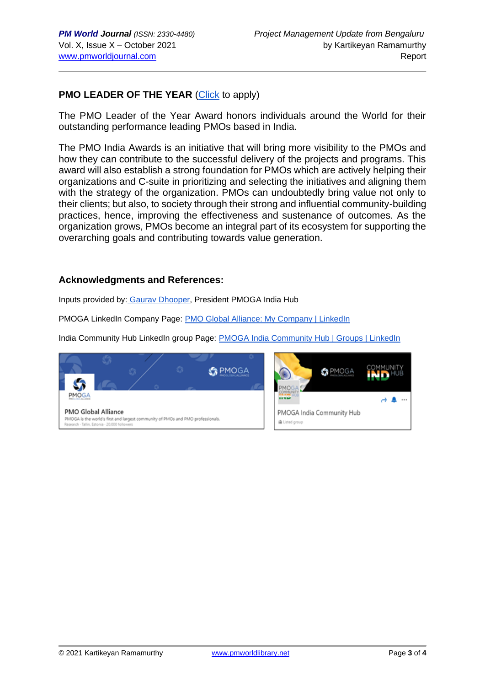### **PMO LEADER OF THE YEAR [\(Click](https://www.pmoga.world/pmo-india-awards-pmo-leader-award) to apply)**

The PMO Leader of the Year Award honors individuals around the World for their outstanding performance leading PMOs based in India.

The PMO India Awards is an initiative that will bring more visibility to the PMOs and how they can contribute to the successful delivery of the projects and programs. This award will also establish a strong foundation for PMOs which are actively helping their organizations and C-suite in prioritizing and selecting the initiatives and aligning them with the strategy of the organization. PMOs can undoubtedly bring value not only to their clients; but also, to society through their strong and influential community-building practices, hence, improving the effectiveness and sustenance of outcomes. As the organization grows, PMOs become an integral part of its ecosystem for supporting the overarching goals and contributing towards value generation.

#### **Acknowledgments and References:**

Inputs provided by: [Gaurav Dhooper,](https://www.linkedin.com/in/gaurav-dhooper-pal-i%C2%AE-pmi-acp%C2%AE-safe4%C2%AE-csm%C2%AE-lss-gb-b871a5a/) President PMOGA India Hub

PMOGA LinkedIn Company Page[:](https://www.linkedin.com/company/pmoga/) [PMO Global Alliance: My Company | LinkedIn](https://www.linkedin.com/company/pmoga/mycompany/)

India Community Hub LinkedIn group Page: [PMOGA India Community Hub | Groups | LinkedIn](https://www.linkedin.com/groups/13985237/)